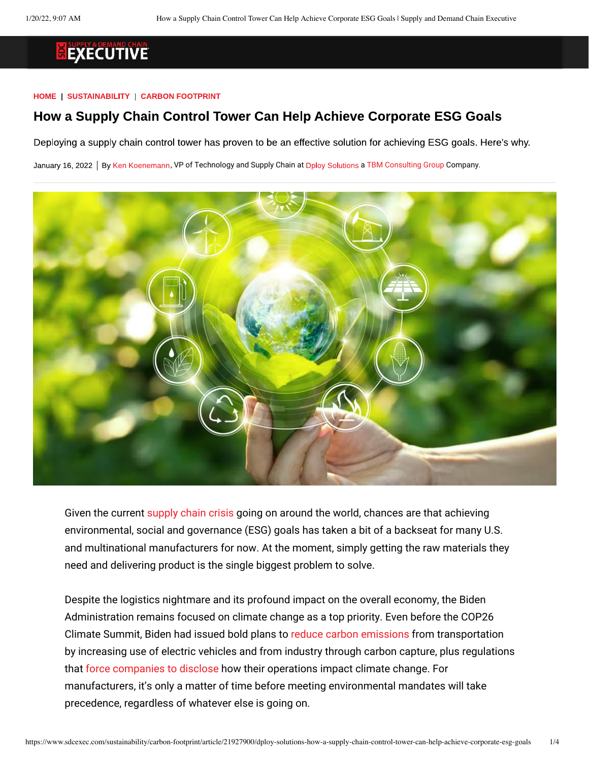#### HOME | SUSTAINABILITY | CARBON FOOTPRINT

#### How a Supply Chain Control Tower Can Help Achieve Corporate ESG Goals

Deploying a supply chain control tower has proven to be an effective solution for achieving ESG goals. Here's why.

January 16[,](https://www.tbmcg.com/people/ken-koenemann/) 2022 | By Ken Koenemann, VP of Technology and Supply Chain at Dploy Solutions a [TBM Consulting Group](https://www.tbmcg.com/) Company.



Given the current [supply chain crisis](https://www.businessinsider.com/why-store-shelves-are-empty-supply-chain-crisis-shortages-2021-10?op=1) going on around the world, chances are that achieving environmental, social and governance (ESG) goals has taken a bit of a backseat for many U.S. and multinational manufacturers for now. At the moment, simply getting the raw materials they need and delivering product is the single biggest problem to solve.

Despite the logistics nightmare and its profound impact on the overall economy, the Biden Administration remains focused on climate change as a top priority. Even before the COP26 Climate Summit, Biden had issued bold plans to [reduce carbon emissions](https://www.whitehouse.gov/briefing-room/statements-releases/2021/04/22/fact-sheet-president-biden-sets-2030-greenhouse-gas-pollution-reduction-target-aimed-at-creating-good-paying-union-jobs-and-securing-u-s-leadership-on-clean-energy-technologies/) from transportation by increasing use of electric vehicles and from industry through carbon capture, plus regulations tha[t force companies to disclose](https://www.forbes.com/sites/daneberhart/2021/09/13/bidens-plan-to-expand-climate-disclosure-requirements-means-higher-prices-for-consumers/?sh=18443dd079d7) how their operations impact climate change. For manufacturers, it's only a matter of time before meeting environmental mandates will take precedence, regardless of whatever else is going on.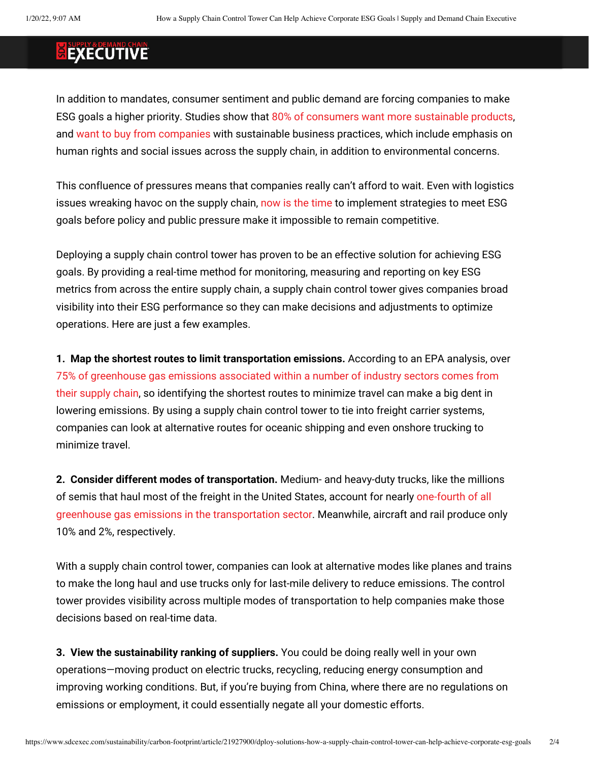In addition to mandates, consumer sentiment and public demand are forcing companies to make ESG goals a higher priority. Studies show that [80% of consumers want more sustainable products](https://www.businessnewsdaily.com/15087-consumers-want-sustainable-products.html), and [want to buy from companies](https://hbr.org/2019/06/research-actually-consumers-do-buy-sustainable-products) with sustainable business practices, which include emphasis on human rights and social issues across the supply chain, in addition to environmental concerns.

This confluence of pressures means that companies really can't afford to wait. Even with logistics issues wreaking havoc on the supply chai[n, now is the time](https://www.environmentalleader.com/2021/04/why-corporate-esg-goals-are-now-a-necessity-a-qa-with-kathy-alsegaf-of-deloitte/) to implement strategies to meet ESG goals before policy and public pressure make it impossible to remain competitive.

Deploying a supply chain control tower has proven to be an effective solution for achieving ESG goals. By providing a real-time method for monitoring, measuring and reporting on key ESG metrics from across the entire supply chain, a supply chain control tower gives companies broad visibility into their ESG performance so they can make decisions and adjustments to optimize operations. Here are just a few examples.

**1. Map the shortest routes to limit transportation emissions.** According to an EPA analysis, over [75% of greenhouse gas emissions associated within a number of industry sectors comes from](https://www.epa.gov/sites/default/files/2015-07/documents/managing_supplychain_ghg.pdf)  [their supply chain,](https://www.epa.gov/sites/default/files/2015-07/documents/managing_supplychain_ghg.pdf) so identifying the shortest routes to minimize travel can make a big dent in lowering emissions. By using a supply chain control tower to tie into freight carrier systems, companies can look at alternative routes for oceanic shipping and even onshore trucking to minimize travel.

**2. Consider different modes of transportation.** Medium- and heavy-duty trucks, like the millions of semis that haul most of the freight in the United States, account for nearly [one-fourth of all](https://www.epa.gov/greenvehicles/fast-facts-transportation-greenhouse-gas-emissions)  [greenhouse gas emissions in the transportation sector.](https://www.epa.gov/greenvehicles/fast-facts-transportation-greenhouse-gas-emissions) Meanwhile, aircraft and rail produce only 10% and 2%, respectively.

With a supply chain control tower, companies can look at alternative modes like planes and trains to make the long haul and use trucks only for last-mile delivery to reduce emissions. The control tower provides visibility across multiple modes of transportation to help companies make those decisions based on real-time data.

**3. View the sustainability ranking of suppliers.** You could be doing really well in your own operations—moving product on electric trucks, recycling, reducing energy consumption and improving working conditions. But, if you're buying from China, where there are no regulations on emissions or employment, it could essentially negate all your domestic efforts.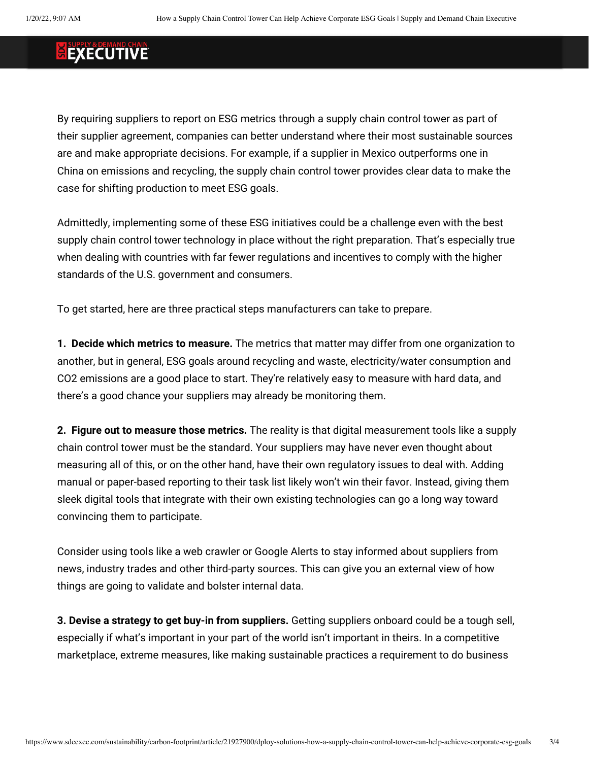By requiring suppliers to report on ESG metrics through a supply chain control tower as part of their supplier agreement, companies can better understand where their most sustainable sources are and make appropriate decisions. For example, if a supplier in Mexico outperforms one in China on emissions and recycling, the supply chain control tower provides clear data to make the case for shifting production to meet ESG goals.

Admittedly, implementing some of these ESG initiatives could be a challenge even with the best supply chain control tower technology in place without the right preparation. That's especially true when dealing with countries with far fewer regulations and incentives to comply with the higher standards of the U.S. government and consumers.

To get started, here are three practical steps manufacturers can take to prepare.

**1. Decide which metrics to measure.** The metrics that matter may differ from one organization to another, but in general, ESG goals around recycling and waste, electricity/water consumption and CO2 emissions are a good place to start. They're relatively easy to measure with hard data, and there's a good chance your suppliers may already be monitoring them.

**2. Figure out to measure those metrics.** The reality is that digital measurement tools like a supply chain control tower must be the standard. Your suppliers may have never even thought about measuring all of this, or on the other hand, have their own regulatory issues to deal with. Adding manual or paper-based reporting to their task list likely won't win their favor. Instead, giving them sleek digital tools that integrate with their own existing technologies can go a long way toward convincing them to participate.

Consider using tools like a web crawler or Google Alerts to stay informed about suppliers from news, industry trades and other third-party sources. This can give you an external view of how things are going to validate and bolster internal data.

**3. Devise a strategy to get buy-in from suppliers.** Getting suppliers onboard could be a tough sell, especially if what's important in your part of the world isn't important in theirs. In a competitive marketplace, extreme measures, like making sustainable practices a requirement to do business